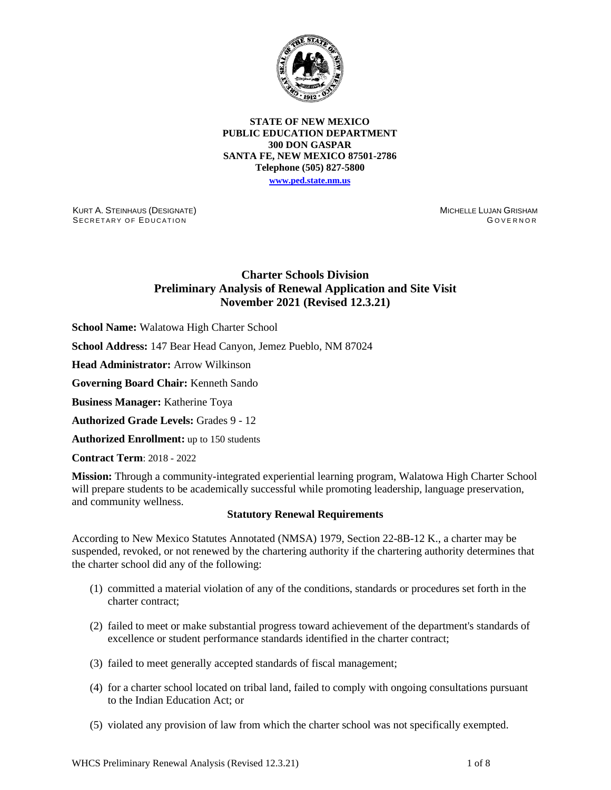

**STATE OF NEW MEXICO PUBLIC EDUCATION DEPARTMENT 300 DON GASPAR SANTA FE, NEW MEXICO 87501-2786 Telephone (505) 827-5800 [www.ped.state.nm.us](http://webnew.ped.state.nm.us/)**

KURT A. STEINHAUS (DESIGNATE) SECRETARY OF EDUCATION

MICHELLE LUJAN GRISHAM GOVERNOR

# **Charter Schools Division Preliminary Analysis of Renewal Application and Site Visit November 2021 (Revised 12.3.21)**

**School Name:** Walatowa High Charter School

**School Address:** 147 Bear Head Canyon, Jemez Pueblo, NM 87024

**Head Administrator:** Arrow Wilkinson

**Governing Board Chair:** Kenneth Sando

**Business Manager:** Katherine Toya

**Authorized Grade Levels:** Grades 9 - 12

**Authorized Enrollment:** up to 150 students

**Contract Term**: 2018 - 2022

**Mission:** Through a community-integrated experiential learning program, Walatowa High Charter School will prepare students to be academically successful while promoting leadership, language preservation, and community wellness.

### **Statutory Renewal Requirements**

According to New Mexico Statutes Annotated (NMSA) 1979, Section 22-8B-12 K., a charter may be suspended, revoked, or not renewed by the chartering authority if the chartering authority determines that the charter school did any of the following:

- (1) committed a material violation of any of the conditions, standards or procedures set forth in the charter contract;
- (2) failed to meet or make substantial progress toward achievement of the department's standards of excellence or student performance standards identified in the charter contract;
- (3) failed to meet generally accepted standards of fiscal management;
- (4) for a charter school located on tribal land, failed to comply with ongoing consultations pursuant to the Indian Education Act; or
- (5) violated any provision of law from which the charter school was not specifically exempted.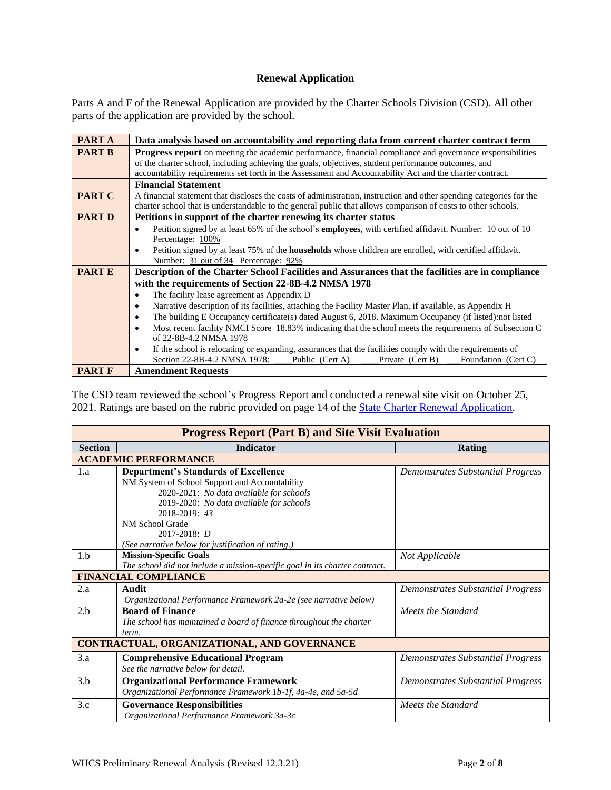# **Renewal Application**

Parts A and F of the Renewal Application are provided by the Charter Schools Division (CSD). All other parts of the application are provided by the school.

| <b>PARTA</b>  | Data analysis based on accountability and reporting data from current charter contract term                                    |  |  |  |  |  |  |  |
|---------------|--------------------------------------------------------------------------------------------------------------------------------|--|--|--|--|--|--|--|
| <b>PART B</b> | <b>Progress report</b> on meeting the academic performance, financial compliance and governance responsibilities               |  |  |  |  |  |  |  |
|               | of the charter school, including achieving the goals, objectives, student performance outcomes, and                            |  |  |  |  |  |  |  |
|               | accountability requirements set forth in the Assessment and Accountability Act and the charter contract.                       |  |  |  |  |  |  |  |
|               | <b>Financial Statement</b>                                                                                                     |  |  |  |  |  |  |  |
| <b>PART C</b> | A financial statement that discloses the costs of administration, instruction and other spending categories for the            |  |  |  |  |  |  |  |
|               | charter school that is understandable to the general public that allows comparison of costs to other schools.                  |  |  |  |  |  |  |  |
| <b>PART D</b> | Petitions in support of the charter renewing its charter status                                                                |  |  |  |  |  |  |  |
|               | Petition signed by at least 65% of the school's <b>employees</b> , with certified affidavit. Number: 10 out of 10<br>$\bullet$ |  |  |  |  |  |  |  |
|               | Percentage: 100%                                                                                                               |  |  |  |  |  |  |  |
|               | Petition signed by at least 75% of the <b>households</b> whose children are enrolled, with certified affidavit.<br>٠           |  |  |  |  |  |  |  |
|               | Number: 31 out of 34 Percentage: 92%                                                                                           |  |  |  |  |  |  |  |
| <b>PARTE</b>  | Description of the Charter School Facilities and Assurances that the facilities are in compliance                              |  |  |  |  |  |  |  |
|               | with the requirements of Section 22-8B-4.2 NMSA 1978                                                                           |  |  |  |  |  |  |  |
|               | The facility lease agreement as Appendix D<br>٠                                                                                |  |  |  |  |  |  |  |
|               | Narrative description of its facilities, attaching the Facility Master Plan, if available, as Appendix H<br>٠                  |  |  |  |  |  |  |  |
|               | The building E Occupancy certificate(s) dated August 6, 2018. Maximum Occupancy (if listed):not listed<br>٠                    |  |  |  |  |  |  |  |
|               | Most recent facility NMCI Score 18.83% indicating that the school meets the requirements of Subsection C<br>$\bullet$          |  |  |  |  |  |  |  |
|               | of 22-8B-4.2 NMSA 1978                                                                                                         |  |  |  |  |  |  |  |
|               | If the school is relocating or expanding, assurances that the facilities comply with the requirements of<br>$\bullet$          |  |  |  |  |  |  |  |
|               | Section 22-8B-4.2 NMSA 1978:<br>Public (Cert A)<br>Private (Cert B)<br>Foundation (Cert C)                                     |  |  |  |  |  |  |  |
| <b>PART F</b> | <b>Amendment Requests</b>                                                                                                      |  |  |  |  |  |  |  |

The CSD team reviewed the school's Progress Report and conducted a renewal site visit on October 25, 2021. Ratings are based on the rubric provided on page 14 of the [State Charter Renewal Application.](https://webnew.ped.state.nm.us/bureaus/public-education-commission/policies-and-processes/renewal-application/)

| <b>Progress Report (Part B) and Site Visit Evaluation</b> |                                                                                                                                                                                                        |                                          |  |  |  |  |  |  |
|-----------------------------------------------------------|--------------------------------------------------------------------------------------------------------------------------------------------------------------------------------------------------------|------------------------------------------|--|--|--|--|--|--|
| <b>Section</b>                                            | <b>Indicator</b>                                                                                                                                                                                       | Rating                                   |  |  |  |  |  |  |
|                                                           | <b>ACADEMIC PERFORMANCE</b>                                                                                                                                                                            |                                          |  |  |  |  |  |  |
| 1.a                                                       | <b>Department's Standards of Excellence</b><br>NM System of School Support and Accountability<br>2020-2021: No data available for schools<br>2019-2020: No data available for schools<br>2018-2019: 43 | <b>Demonstrates Substantial Progress</b> |  |  |  |  |  |  |
|                                                           | NM School Grade<br>$2017 - 2018$ : D<br>(See narrative below for justification of rating.)                                                                                                             |                                          |  |  |  |  |  |  |
| 1.b                                                       | <b>Mission-Specific Goals</b><br>The school did not include a mission-specific goal in its charter contract.                                                                                           | Not Applicable                           |  |  |  |  |  |  |
|                                                           | <b>FINANCIAL COMPLIANCE</b>                                                                                                                                                                            |                                          |  |  |  |  |  |  |
| 2.a                                                       | Audit<br>Organizational Performance Framework 2a-2e (see narrative below)                                                                                                                              | <b>Demonstrates Substantial Progress</b> |  |  |  |  |  |  |
| 2.b                                                       | <b>Board of Finance</b><br>The school has maintained a board of finance throughout the charter<br>term.                                                                                                | Meets the Standard                       |  |  |  |  |  |  |
|                                                           | CONTRACTUAL, ORGANIZATIONAL, AND GOVERNANCE                                                                                                                                                            |                                          |  |  |  |  |  |  |
| 3.a                                                       | <b>Comprehensive Educational Program</b><br>See the narrative below for detail.                                                                                                                        | Demonstrates Substantial Progress        |  |  |  |  |  |  |
| 3.b                                                       | <b>Organizational Performance Framework</b><br>Organizational Performance Framework 1b-1f, 4a-4e, and 5a-5d                                                                                            | <b>Demonstrates Substantial Progress</b> |  |  |  |  |  |  |
| 3.c                                                       | <b>Governance Responsibilities</b><br>Organizational Performance Framework 3a-3c                                                                                                                       | Meets the Standard                       |  |  |  |  |  |  |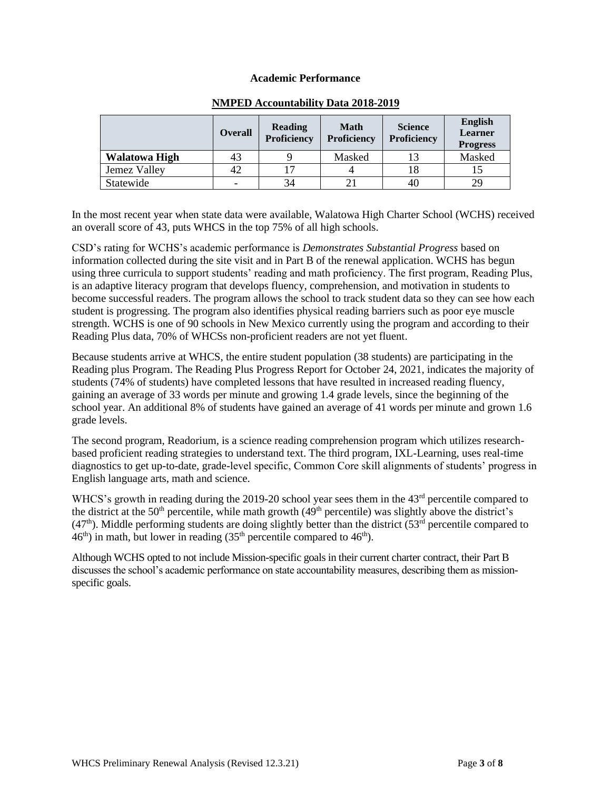### **Academic Performance**

|                      | <b>Overall</b>           | Reading<br><b>Proficiency</b> | <b>Math</b><br><b>Proficiency</b> | <b>Science</b><br><b>Proficiency</b> |        |
|----------------------|--------------------------|-------------------------------|-----------------------------------|--------------------------------------|--------|
| <b>Walatowa High</b> | 43                       |                               | Masked                            |                                      | Masked |
| Jemez Valley         | -42                      | 17                            |                                   |                                      |        |
| Statewide            | $\overline{\phantom{0}}$ | 34                            |                                   | 40                                   | 29     |

# **NMPED Accountability Data 2018-2019**

In the most recent year when state data were available, Walatowa High Charter School (WCHS) received an overall score of 43, puts WHCS in the top 75% of all high schools.

CSD's rating for WCHS's academic performance is *Demonstrates Substantial Progress* based on information collected during the site visit and in Part B of the renewal application. WCHS has begun using three curricula to support students' reading and math proficiency. The first program, Reading Plus, is an adaptive literacy program that develops fluency, comprehension, and motivation in students to become successful readers. The program allows the school to track student data so they can see how each student is progressing. The program also identifies physical reading barriers such as poor eye muscle strength. WCHS is one of 90 schools in New Mexico currently using the program and according to their Reading Plus data, 70% of WHCSs non-proficient readers are not yet fluent.

Because students arrive at WHCS, the entire student population (38 students) are participating in the Reading plus Program. The Reading Plus Progress Report for October 24, 2021, indicates the majority of students (74% of students) have completed lessons that have resulted in increased reading fluency, gaining an average of 33 words per minute and growing 1.4 grade levels, since the beginning of the school year. An additional 8% of students have gained an average of 41 words per minute and grown 1.6 grade levels.

The second program, Readorium, is a science reading comprehension program which utilizes researchbased proficient reading strategies to understand text. The third program, IXL-Learning, uses real-time diagnostics to get up-to-date, grade-level specific, Common Core skill alignments of students' progress in English language arts, math and science.

WHCS's growth in reading during the 2019-20 school year sees them in the 43<sup>rd</sup> percentile compared to the district at the 50<sup>th</sup> percentile, while math growth  $(49<sup>th</sup>$  percentile) was slightly above the district's  $(47<sup>th</sup>)$ . Middle performing students are doing slightly better than the district  $(53<sup>rd</sup>)$  percentile compared to  $46<sup>th</sup>$ ) in math, but lower in reading  $(35<sup>th</sup>$  percentile compared to  $46<sup>th</sup>$ ).

Although WCHS opted to not include Mission-specific goals in their current charter contract, their Part B discusses the school's academic performance on state accountability measures, describing them as missionspecific goals.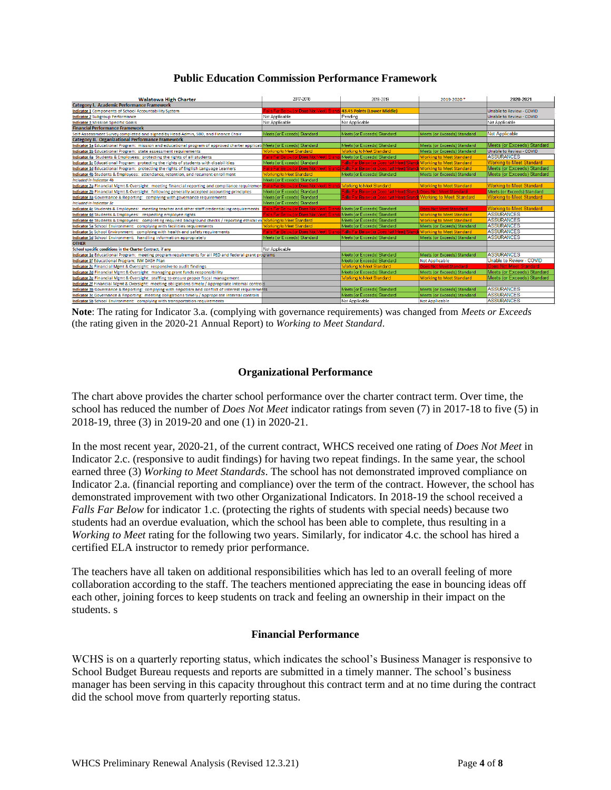# **Public Education Commission Performance Framework**

| <b>Walatowa High Charter</b>                                                                                                           | 2017-2018                                                             | 2018-2019                                                                                                    | 2019-2020*                      | 2020-2021                          |
|----------------------------------------------------------------------------------------------------------------------------------------|-----------------------------------------------------------------------|--------------------------------------------------------------------------------------------------------------|---------------------------------|------------------------------------|
| Category I. Academic Performance Framework                                                                                             |                                                                       |                                                                                                              |                                 |                                    |
| Indicator 1 Components of School Accountability System                                                                                 | Falls Far Below for Does Not Meet) Standa 43.45 Points (Lower Middle) |                                                                                                              |                                 | Unable to Review - COVID           |
| <b>Indicator 2 Subgroup Performance</b>                                                                                                | Not Applicable                                                        | Pending                                                                                                      |                                 | Unable to Review - COVID           |
| <b>Indicator 3 Mission Specific Goals</b>                                                                                              | Not Applicable                                                        | Not Applicable                                                                                               |                                 | Not Applicable                     |
| <b>Financial Performance Framework</b>                                                                                                 |                                                                       |                                                                                                              |                                 |                                    |
| Self-Assessment Survey completed and signed by Head Admin, SBO, and Finance Chair                                                      | Meets for Exceeds) Standard                                           | Meets for Exceeds) Standard                                                                                  | Meets (or Exceeds) Standard     | <b>Not Applicable</b>              |
| <b>Category II. Organizational Performance Framework</b>                                                                               |                                                                       |                                                                                                              |                                 |                                    |
| Indicator 1a Educational Program: mission and educational program of approved charter applicati <b>Meets (or Exceeds) Standard</b>     |                                                                       | Meets for Exceeds) Standard                                                                                  | Meets (or Exceeds) Standard     | Meets (or Exceeds) Standard        |
| Indicator 1b Educational Program: state assessment requirements                                                                        | <b>Working to Meet Standard</b>                                       | Working to Meet Standard                                                                                     | Meets (or Exceeds) Standard     | <b>Unable to Review - COVID</b>    |
| Indicator 4a Students & Employees: protecting the rights of all students                                                               | Falls Far Below (or Does Not Meet) Stand                              | <mark>la</mark> Meets for Exceeds) Standard                                                                  | <b>Working to Meet Standard</b> | <b>ASSURANCES</b>                  |
| Indicator 1c Educational Program: protecting the rights of students with disabilities                                                  | Meets (or Exceeds) Standard                                           | Falls Far Below (or Does Not Meet) Standa Working to Meet Standard                                           |                                 | <b>Working to Meet Standard</b>    |
| Indicator 1d Educational Program: protecting the rights of English Language Learners                                                   |                                                                       | Falls Far Below (or Does Not Meet) Standa Falls Far Below (or Does Not Meet) Standa Working to Meet Standard |                                 | Meets (or Exceeds) Standard        |
| Indicator 4b Students & Employees: attendance, retention, and recurrent enrollment                                                     | Working to Meet Standard                                              | Meets (or Exceeds) Standard                                                                                  | Meets (or Exceeds) Standard     | Meets (or Exceeds) Standard        |
| Included in Indicator 4b                                                                                                               | Meets (or Exceeds) Standard                                           |                                                                                                              |                                 |                                    |
| Indicator 2a Financial Mgmt & Oversight: meeting financial reporting and compliance requirement                                        | Falls Far Below for Does Not Meet) Standa Working to Meet Standard    |                                                                                                              | <b>Working to Meet Standard</b> | <b>Working to Meet Standard</b>    |
| Indicator 2b Financial Mgmt & Oversight: following generally accepted accounting principles                                            | Meets (or Exceeds) Standard                                           | Falls Far Below for Does Not Meet) Standa Does Not Meet Standard                                             |                                 | <b>Meets (or Exceeds) Standard</b> |
| Indicator 3a Governance & Reporting: complying with governance requirements                                                            | Meets for Exceeds) Standard                                           | Falls Far Below (or Does Not Meet) Standa Working to Meet Standard                                           |                                 | <b>Working to Meet Standard</b>    |
| Included in Indicator 3c                                                                                                               | Meets (or Exceeds) Standard                                           |                                                                                                              |                                 |                                    |
| Indicator 4c Students & Employees: meeting teacher and other staff credentialing requirements                                          | Falls Far Below for Does Not Meet) Stand                              | Meets for Exceeds) Standard                                                                                  | Does Not Meet Standard          | <b>Working to Meet Standard</b>    |
| Indicator 4d Students & Employees: respecting employee rights                                                                          | Falls Far Below for Does Not Meet) Stand                              | Meets (or Exceeds) Standard                                                                                  | <b>Working to Meet Standard</b> | <b>ASSURANCES</b>                  |
| Indicator 4e Students & Employees: completing required background checks / reporting ethical vio <mark>Working to Meet Standard</mark> |                                                                       | Meets (or Exceeds) Standard                                                                                  | <b>Working to Meet Standard</b> | <b>ASSURANCES</b>                  |
| Indicator 5a School Environment: complying with facilities requirements                                                                | Working to Meet Standard                                              | Meets for Exceeds) Standard                                                                                  | Meets (or Exceeds) Standard     | <b>ASSURANCES</b>                  |
| Indicator 5c School Environment: complying with health and safety requirements                                                         |                                                                       | Falls Far Below (or Does Not Meet) Stand $\frac{1}{4}$ Falls Far Below (or Does Not Meet) Stand              | <b>Working to Meet Standard</b> | <b>ASSURANCES</b>                  |
| Indicator 5d School Environment: handling information appropiately                                                                     | Meets for Exceeds) Standard                                           | Meets for Exceeds) Standard                                                                                  | Meets (or Exceeds) Standard     | <b>ASSURANCES</b>                  |
| <b>OTHER</b>                                                                                                                           |                                                                       |                                                                                                              |                                 |                                    |
| School specific conditions in the Charter Contract, if any                                                                             | Not Applicable                                                        |                                                                                                              |                                 |                                    |
| Indicator 1e Educational Program: meeting program requirements for all PED and federal grant programs                                  |                                                                       | Meets for Exceeds) Standard                                                                                  | Meets (or Exceeds) Standard     | <b>ASSURANCES</b>                  |
| Indicator 1f Educational Program: NM DASH Plan                                                                                         |                                                                       | Meets (or Exceeds) Standard                                                                                  | <b>Not Applicable</b>           | Unable to Review - COVID           |
| Indicator 2c Financial Mgmt & Oversight: responsive to audit findings                                                                  |                                                                       | Working to Meet Standard                                                                                     | <b>Does Not Meet Standard</b>   | <b>Does Not Meet Standard</b>      |
| Indicator 2d Financial Mgmt & Oversight: managing grant funds responsibility                                                           |                                                                       | Meets for Exceeds) Standard                                                                                  | Meets (or Exceeds) Standard     | Meets (or Exceeds) Standard        |
| Indicator 2e Financial Mgmt & Oversight: staffing to ensure proper fiscal management                                                   |                                                                       | Working to Meet Standard                                                                                     | <b>Working to Meet Standard</b> | Meets (or Exceeds) Standard        |
| Indicator 2f Financial Mgmt & Oversight: meeting obligations timely / appropriate internal controls                                    |                                                                       |                                                                                                              |                                 |                                    |
| Indicator 3b Governance & Reporting: complying with nepotism and conflict of interest requirements                                     |                                                                       | Meets for Exceeds) Standard                                                                                  | Meets (or Exceeds) Standard     | <b>ASSURANCES</b>                  |
| Indicator 3c Governance & Reporting: meeting obligations timely / appropriate internal controls                                        |                                                                       | Meets (or Exceeds) Standard                                                                                  | Meets (or Exceeds) Standard     | <b>ASSURANCES</b>                  |
| Indicator 5b School Environment: complying with transportation requirements                                                            |                                                                       | Not Annlicable                                                                                               | Not Applicable                  | <b>ASSURANCES</b>                  |

**Note**: The rating for Indicator 3.a. (complying with governance requirements) was changed from *Meets or Exceeds* (the rating given in the 2020-21 Annual Report) to *Working to Meet Standard*.

# **Organizational Performance**

The chart above provides the charter school performance over the charter contract term. Over time, the school has reduced the number of *Does Not Meet* indicator ratings from seven (7) in 2017-18 to five (5) in 2018-19, three (3) in 2019-20 and one (1) in 2020-21.

In the most recent year, 2020-21, of the current contract, WHCS received one rating of *Does Not Meet* in Indicator 2.c. (responsive to audit findings) for having two repeat findings. In the same year, the school earned three (3) *Working to Meet Standards*. The school has not demonstrated improved compliance on Indicator 2.a. (financial reporting and compliance) over the term of the contract. However, the school has demonstrated improvement with two other Organizational Indicators. In 2018-19 the school received a *Falls Far Below* for indicator 1.c. (protecting the rights of students with special needs) because two students had an overdue evaluation, which the school has been able to complete, thus resulting in a *Working to Meet* rating for the following two years. Similarly, for indicator 4.c. the school has hired a certified ELA instructor to remedy prior performance.

The teachers have all taken on additional responsibilities which has led to an overall feeling of more collaboration according to the staff. The teachers mentioned appreciating the ease in bouncing ideas off each other, joining forces to keep students on track and feeling an ownership in their impact on the students. s

# **Financial Performance**

WCHS is on a quarterly reporting status, which indicates the school's Business Manager is responsive to School Budget Bureau requests and reports are submitted in a timely manner. The school's business manager has been serving in this capacity throughout this contract term and at no time during the contract did the school move from quarterly reporting status.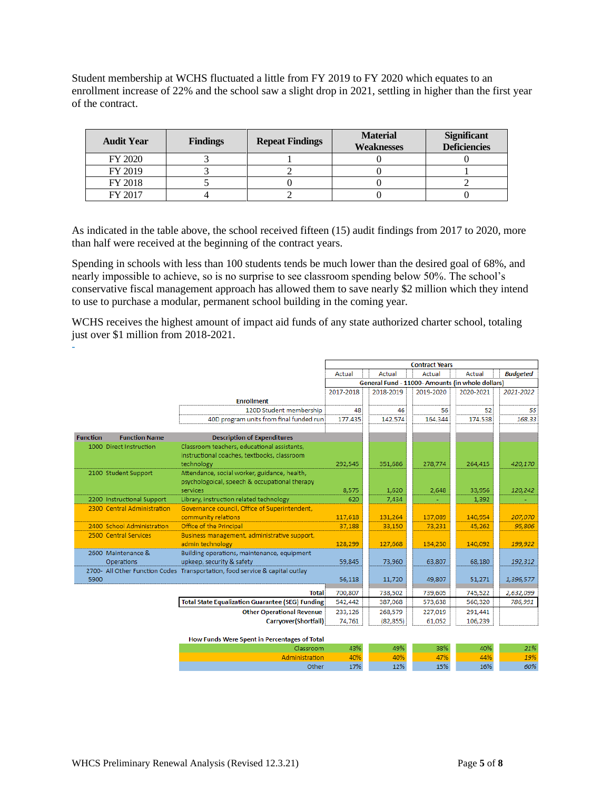Student membership at WCHS fluctuated a little from FY 2019 to FY 2020 which equates to an enrollment increase of 22% and the school saw a slight drop in 2021, settling in higher than the first year of the contract.

| <b>Audit Year</b> | <b>Findings</b> | <b>Material</b><br><b>Repeat Findings</b><br><b>Weaknesses</b> |  | <b>Significant</b><br><b>Deficiencies</b> |
|-------------------|-----------------|----------------------------------------------------------------|--|-------------------------------------------|
| FY 2020           |                 |                                                                |  |                                           |
| FY 2019           |                 |                                                                |  |                                           |
| FY 2018           |                 |                                                                |  |                                           |
| FY 2017           |                 |                                                                |  |                                           |

As indicated in the table above, the school received fifteen (15) audit findings from 2017 to 2020, more than half were received at the beginning of the contract years.

Spending in schools with less than 100 students tends be much lower than the desired goal of 68%, and nearly impossible to achieve, so is no surprise to see classroom spending below 50%. The school's conservative fiscal management approach has allowed them to save nearly \$2 million which they intend to use to purchase a modular, permanent school building in the coming year.

WCHS receives the highest amount of impact aid funds of any state authorized charter school, totaling just over \$1 million from 2018-2021.

|                 |                             |                                                                              | <b>Contract Years</b>                            |           |           |           |                 |
|-----------------|-----------------------------|------------------------------------------------------------------------------|--------------------------------------------------|-----------|-----------|-----------|-----------------|
|                 |                             |                                                                              | Actual<br>Actual<br>Actual<br>Actual             |           |           |           | <b>Budgeted</b> |
|                 |                             |                                                                              | General Fund - 11000- Amounts (in whole dollars) |           |           |           |                 |
|                 |                             |                                                                              | 2017-2018                                        | 2018-2019 | 2019-2020 | 2020-2021 | 2021-2022       |
|                 |                             | <b>Enrollment</b>                                                            |                                                  |           |           |           |                 |
|                 |                             | 120D Student membership                                                      | 48                                               | 46        | 56        | 52        | 55              |
|                 |                             | 40D program units from final funded run                                      | 177.435                                          | 142.574   | 164.344   | 174.538   | 168.33          |
| <b>Function</b> | <b>Function Name</b>        | <b>Description of Expenditures</b>                                           |                                                  |           |           |           |                 |
|                 | 1000 Direct Instruction     | Classroom teachers, educational assistants,                                  |                                                  |           |           |           |                 |
|                 |                             | instructional coaches, textbooks, classroom                                  |                                                  |           |           |           |                 |
|                 |                             | technology                                                                   | 292,545                                          | 351.686   | 278,774   | 264,415   | 420,170         |
|                 | 2100 Student Support        | Attendance, social worker, guidance, health,                                 |                                                  |           |           |           |                 |
|                 |                             | psychologoical, speech & occupational therapy                                |                                                  |           |           |           |                 |
|                 |                             | services                                                                     | 8,575                                            | 1,620     | 2,648     | 33,956    | 120,242         |
|                 | 2200 Instructional Support  | Library, instruction related technology                                      | 620                                              | 7,434     |           | 1,392     |                 |
|                 | 2300 Central Administration | Governance council, Office of Superintendent,                                |                                                  |           |           |           |                 |
|                 | 2400 School Administration  | community relations                                                          | 117.618                                          | 131.264   | 137,089   | 140.954   | 207,070         |
|                 | 2500 Central Services       | Office of the Principal                                                      | 37,188                                           | 33,150    | 73,231    | 45,262    | 95,806          |
|                 |                             | Business management, administrative support,<br>admin technology             | 128,299                                          | 127,668   | 134,250   | 140,092   | 199,922         |
|                 | 2600 Maintenance &          | Building operations, maintenance, equipment                                  |                                                  |           |           |           |                 |
|                 | Operations                  | upkeep, security & safety                                                    | 59,845                                           | 73,960    | 63,807    | 68,180    | 192,312         |
|                 |                             | 2700- All Other Function Codes Transportation, food service & capital outlay |                                                  |           |           |           |                 |
| 5900            |                             |                                                                              | 56,118                                           | 11,720    | 49,807    | 51,271    | 1,396,577       |
|                 |                             | <b>Total</b>                                                                 | 700,807                                          | 738,502   | 739,605   | 745,522   | 2,632,099       |
|                 |                             | <b>Total State Equalization Guarantee (SEG) Funding</b>                      | 542,442                                          | 387,068   | 573,638   | 560,320   | 786,991         |
|                 |                             | <b>Other Operational Revenue</b>                                             | 233,126                                          | 268,579   | 227,019   | 291,441   |                 |
|                 |                             | Carryover(Shortfall)                                                         | 74,761                                           | (82, 855) | 61,052    | 106,239   |                 |
|                 |                             |                                                                              |                                                  |           |           |           |                 |
|                 |                             | How Funds Were Spent in Percentages of Total<br>Classroom                    | 43%                                              | 49%       | 38%       | 40%       | 21%             |
|                 |                             | Administration                                                               | 40%                                              | 40%       | 47%       | 44%       | 19%             |
|                 |                             | Other                                                                        | 17%                                              | 12%       | 15%       | 16%       | 60%             |

-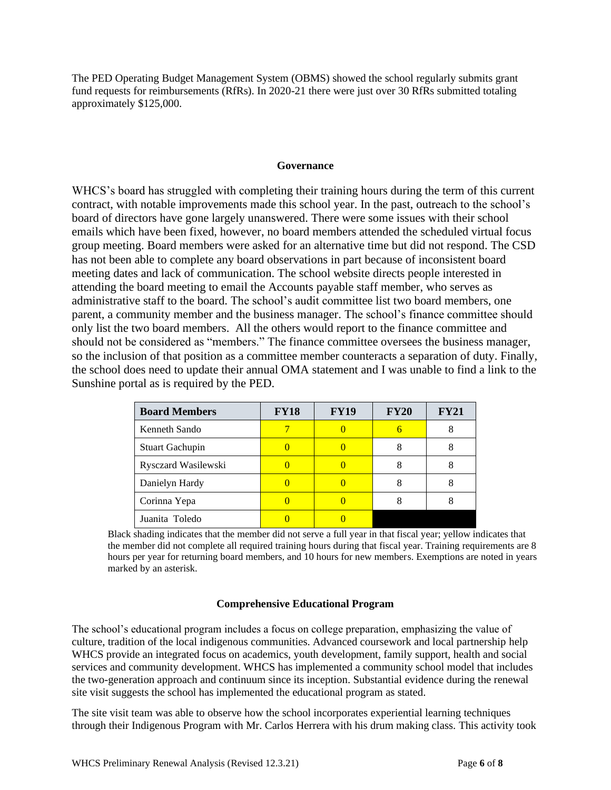The PED Operating Budget Management System (OBMS) showed the school regularly submits grant fund requests for reimbursements (RfRs). In 2020-21 there were just over 30 RfRs submitted totaling approximately \$125,000.

### **Governance**

WHCS's board has struggled with completing their training hours during the term of this current contract, with notable improvements made this school year. In the past, outreach to the school's board of directors have gone largely unanswered. There were some issues with their school emails which have been fixed, however, no board members attended the scheduled virtual focus group meeting. Board members were asked for an alternative time but did not respond. The CSD has not been able to complete any board observations in part because of inconsistent board meeting dates and lack of communication. The school website directs people interested in attending the board meeting to email the Accounts payable staff member, who serves as administrative staff to the board. The school's audit committee list two board members, one parent, a community member and the business manager. The school's finance committee should only list the two board members. All the others would report to the finance committee and should not be considered as "members." The finance committee oversees the business manager, so the inclusion of that position as a committee member counteracts a separation of duty. Finally, the school does need to update their annual OMA statement and I was unable to find a link to the Sunshine portal as is required by the PED.

| <b>Board Members</b>   | <b>FY18</b> | <b>FY19</b> | <b>FY20</b> | <b>FY21</b> |
|------------------------|-------------|-------------|-------------|-------------|
| Kenneth Sando          |             |             |             |             |
| <b>Stuart Gachupin</b> |             |             |             |             |
| Rysczard Wasilewski    |             |             |             |             |
| Danielyn Hardy         |             |             |             |             |
| Corinna Yepa           |             |             |             |             |
| Juanita Toledo         |             |             |             |             |

Black shading indicates that the member did not serve a full year in that fiscal year; yellow indicates that the member did not complete all required training hours during that fiscal year. Training requirements are 8 hours per year for returning board members, and 10 hours for new members. Exemptions are noted in years marked by an asterisk.

# **Comprehensive Educational Program**

The school's educational program includes a focus on college preparation, emphasizing the value of culture, tradition of the local indigenous communities. Advanced coursework and local partnership help WHCS provide an integrated focus on academics, youth development, family support, health and social services and community development. WHCS has implemented a community school model that includes the two-generation approach and continuum since its inception. Substantial evidence during the renewal site visit suggests the school has implemented the educational program as stated.

The site visit team was able to observe how the school incorporates experiential learning techniques through their Indigenous Program with Mr. Carlos Herrera with his drum making class. This activity took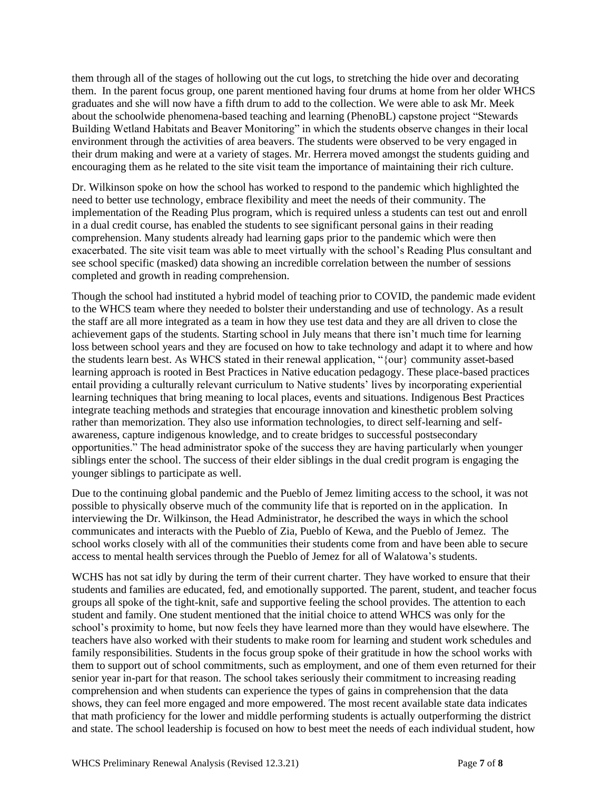them through all of the stages of hollowing out the cut logs, to stretching the hide over and decorating them. In the parent focus group, one parent mentioned having four drums at home from her older WHCS graduates and she will now have a fifth drum to add to the collection. We were able to ask Mr. Meek about the schoolwide phenomena-based teaching and learning (PhenoBL) capstone project "Stewards Building Wetland Habitats and Beaver Monitoring" in which the students observe changes in their local environment through the activities of area beavers. The students were observed to be very engaged in their drum making and were at a variety of stages. Mr. Herrera moved amongst the students guiding and encouraging them as he related to the site visit team the importance of maintaining their rich culture.

Dr. Wilkinson spoke on how the school has worked to respond to the pandemic which highlighted the need to better use technology, embrace flexibility and meet the needs of their community. The implementation of the Reading Plus program, which is required unless a students can test out and enroll in a dual credit course, has enabled the students to see significant personal gains in their reading comprehension. Many students already had learning gaps prior to the pandemic which were then exacerbated. The site visit team was able to meet virtually with the school's Reading Plus consultant and see school specific (masked) data showing an incredible correlation between the number of sessions completed and growth in reading comprehension.

Though the school had instituted a hybrid model of teaching prior to COVID, the pandemic made evident to the WHCS team where they needed to bolster their understanding and use of technology. As a result the staff are all more integrated as a team in how they use test data and they are all driven to close the achievement gaps of the students. Starting school in July means that there isn't much time for learning loss between school years and they are focused on how to take technology and adapt it to where and how the students learn best. As WHCS stated in their renewal application, "{our} community asset-based learning approach is rooted in Best Practices in Native education pedagogy. These place-based practices entail providing a culturally relevant curriculum to Native students' lives by incorporating experiential learning techniques that bring meaning to local places, events and situations. Indigenous Best Practices integrate teaching methods and strategies that encourage innovation and kinesthetic problem solving rather than memorization. They also use information technologies, to direct self-learning and selfawareness, capture indigenous knowledge, and to create bridges to successful postsecondary opportunities." The head administrator spoke of the success they are having particularly when younger siblings enter the school. The success of their elder siblings in the dual credit program is engaging the younger siblings to participate as well.

Due to the continuing global pandemic and the Pueblo of Jemez limiting access to the school, it was not possible to physically observe much of the community life that is reported on in the application. In interviewing the Dr. Wilkinson, the Head Administrator, he described the ways in which the school communicates and interacts with the Pueblo of Zia, Pueblo of Kewa, and the Pueblo of Jemez. The school works closely with all of the communities their students come from and have been able to secure access to mental health services through the Pueblo of Jemez for all of Walatowa's students.

WCHS has not sat idly by during the term of their current charter. They have worked to ensure that their students and families are educated, fed, and emotionally supported. The parent, student, and teacher focus groups all spoke of the tight-knit, safe and supportive feeling the school provides. The attention to each student and family. One student mentioned that the initial choice to attend WHCS was only for the school's proximity to home, but now feels they have learned more than they would have elsewhere. The teachers have also worked with their students to make room for learning and student work schedules and family responsibilities. Students in the focus group spoke of their gratitude in how the school works with them to support out of school commitments, such as employment, and one of them even returned for their senior year in-part for that reason. The school takes seriously their commitment to increasing reading comprehension and when students can experience the types of gains in comprehension that the data shows, they can feel more engaged and more empowered. The most recent available state data indicates that math proficiency for the lower and middle performing students is actually outperforming the district and state. The school leadership is focused on how to best meet the needs of each individual student, how